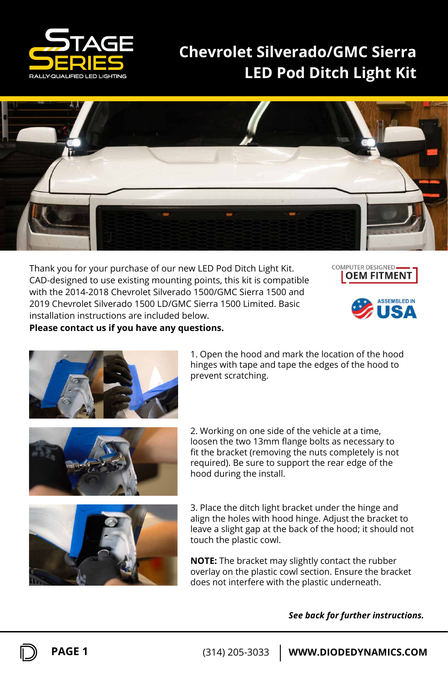

## **LED Pod Ditch Light Kit Chevrolet Silverado/GMC Sierra**



Thank you for your purchase of our new LED Pod Ditch Light Kit. CAD-designed to use existing mounting points, this kit is compatible with the 2014-2018 Chevrolet Silverado 1500/GMC Sierra 1500 and 2019 Chevrolet Silverado 1500 LD/GMC Sierra 1500 Limited. Basic installation instructions are included below. **Please contact us if you have any questions.**







1. Open the hood and mark the location of the hood hinges with tape and tape the edges of the hood to prevent scratching.



2. Working on one side of the vehicle at a time, loosen the two 13mm flange bolts as necessary to fit the bracket (removing the nuts completely is not required). Be sure to support the rear edge of the hood during the install.



3. Place the ditch light bracket under the hinge and align the holes with hood hinge. Adjust the bracket to leave a slight gap at the back of the hood; it should not touch the plastic cowl.

**NOTE:** The bracket may slightly contact the rubber overlay on the plastic cowl section. Ensure the bracket does not interfere with the plastic underneath.

*See back for further instructions.*